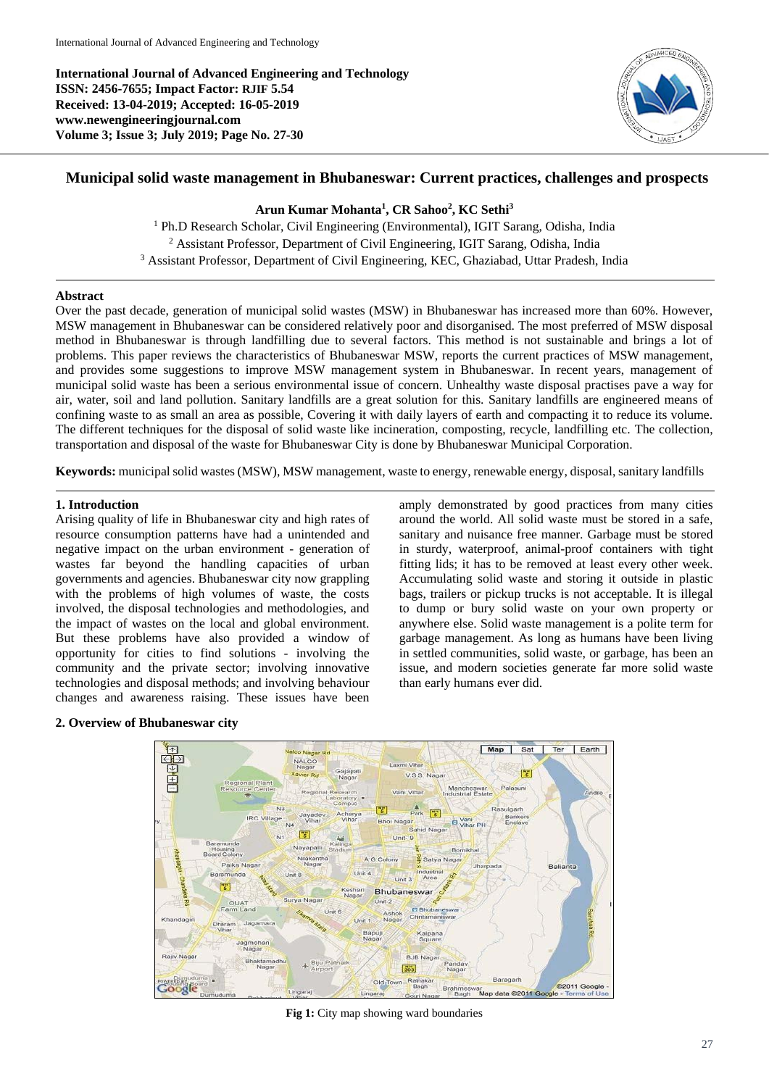**International Journal of Advanced Engineering and Technology ISSN: 2456-7655; Impact Factor: RJIF 5.54 Received: 13-04-2019; Accepted: 16-05-2019 www.newengineeringjournal.com Volume 3; Issue 3; July 2019; Page No. 27-30**



# **Municipal solid waste management in Bhubaneswar: Current practices, challenges and prospects**

### **Arun Kumar Mohanta<sup>1</sup> , CR Sahoo<sup>2</sup> , KC Sethi<sup>3</sup>**

<sup>1</sup> Ph.D Research Scholar, Civil Engineering (Environmental), IGIT Sarang, Odisha, India <sup>2</sup> Assistant Professor, Department of Civil Engineering, IGIT Sarang, Odisha, India <sup>3</sup> Assistant Professor, Department of Civil Engineering, KEC, Ghaziabad, Uttar Pradesh, India

### **Abstract**

Over the past decade, generation of municipal solid wastes (MSW) in Bhubaneswar has increased more than 60%. However, MSW management in Bhubaneswar can be considered relatively poor and disorganised. The most preferred of MSW disposal method in Bhubaneswar is through landfilling due to several factors. This method is not sustainable and brings a lot of problems. This paper reviews the characteristics of Bhubaneswar MSW, reports the current practices of MSW management, and provides some suggestions to improve MSW management system in Bhubaneswar. In recent years, management of municipal solid waste has been a serious environmental issue of concern. Unhealthy waste disposal practises pave a way for air, water, soil and land pollution. Sanitary landfills are a great solution for this. Sanitary landfills are engineered means of confining waste to as small an area as possible, Covering it with daily layers of earth and compacting it to reduce its volume. The different techniques for the disposal of solid waste like incineration, composting, recycle, landfilling etc. The collection, transportation and disposal of the waste for Bhubaneswar City is done by Bhubaneswar Municipal Corporation.

**Keywords:** municipal solid wastes (MSW), MSW management, waste to energy, renewable energy, disposal, sanitary landfills

### **1. Introduction**

Arising quality of life in Bhubaneswar city and high rates of resource consumption patterns have had a unintended and negative impact on the urban environment - generation of wastes far beyond the handling capacities of urban governments and agencies. Bhubaneswar city now grappling with the problems of high volumes of waste, the costs involved, the disposal technologies and methodologies, and the impact of wastes on the local and global environment. But these problems have also provided a window of opportunity for cities to find solutions - involving the community and the private sector; involving innovative technologies and disposal methods; and involving behaviour changes and awareness raising. These issues have been

amply demonstrated by good practices from many cities around the world. All solid waste must be stored in a safe, sanitary and nuisance free manner. Garbage must be stored in sturdy, waterproof, animal-proof containers with tight fitting lids; it has to be removed at least every other week. Accumulating solid waste and storing it outside in plastic bags, trailers or pickup trucks is not acceptable. It is illegal to dump or bury solid waste on your own property or anywhere else. Solid waste management is a polite term for garbage management. As long as humans have been living in settled communities, solid waste, or garbage, has been an issue, and modern societies generate far more solid waste than early humans ever did.

### **2. Overview of Bhubaneswar city**



**Fig 1:** City map showing ward boundaries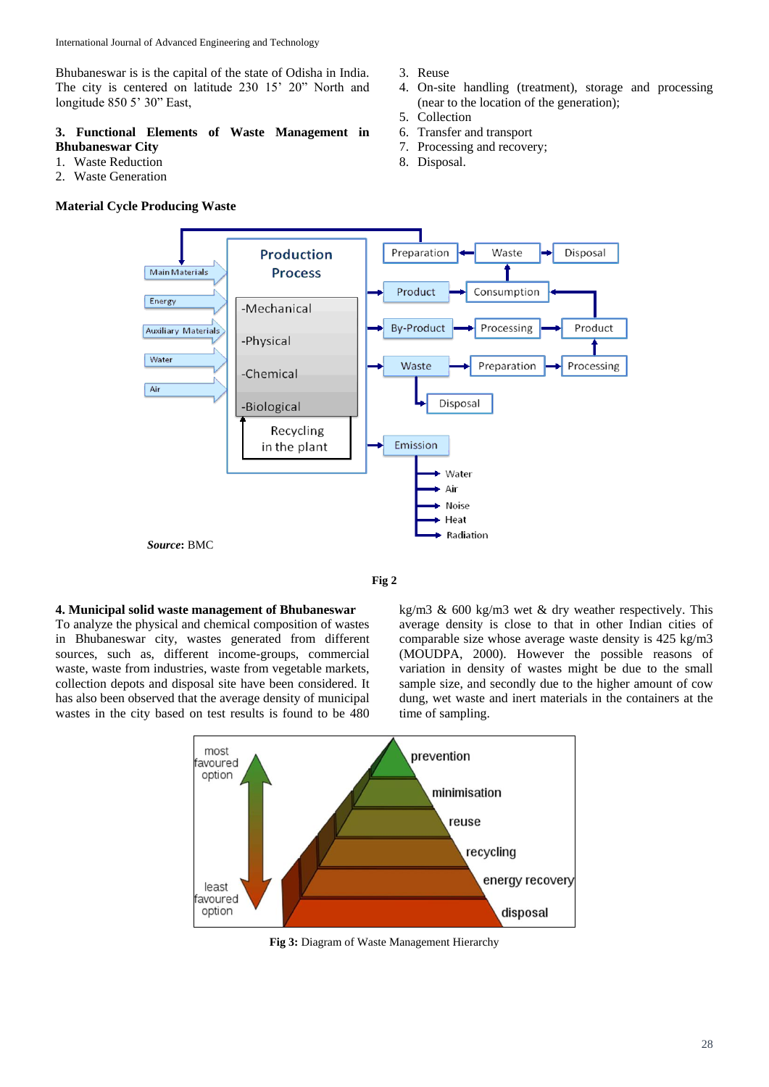Bhubaneswar is is the capital of the state of Odisha in India. The city is centered on latitude 230 15' 20" North and longitude 850 5' 30" East,

## **3. Functional Elements of Waste Management in Bhubaneswar City**

- 1. Waste Reduction
- 2. Waste Generation

### **Material Cycle Producing Waste**

- 3. Reuse
- 4. On-site handling (treatment), storage and processing (near to the location of the generation);
- 5. Collection
- 6. Transfer and transport
- 7. Processing and recovery;
- 8. Disposal.



**Fig 2**

#### **4. Municipal solid waste management of Bhubaneswar**

To analyze the physical and chemical composition of wastes in Bhubaneswar city, wastes generated from different sources, such as, different income-groups, commercial waste, waste from industries, waste from vegetable markets, collection depots and disposal site have been considered. It has also been observed that the average density of municipal wastes in the city based on test results is found to be 480

kg/m3 & 600 kg/m3 wet & dry weather respectively. This average density is close to that in other Indian cities of comparable size whose average waste density is 425 kg/m3 (MOUDPA, 2000). However the possible reasons of variation in density of wastes might be due to the small sample size, and secondly due to the higher amount of cow dung, wet waste and inert materials in the containers at the time of sampling.



**Fig 3:** Diagram of Waste Management Hierarchy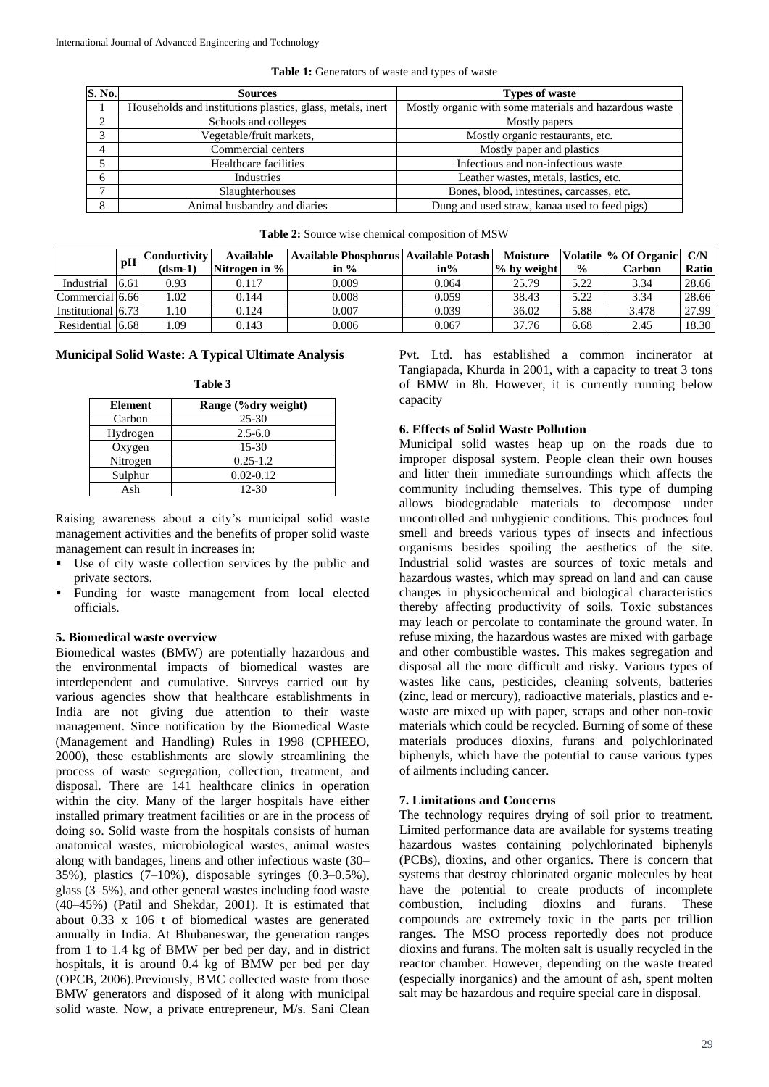| <b>S. No.</b>     | <b>Sources</b>                                             | <b>Types of waste</b>                                  |  |  |
|-------------------|------------------------------------------------------------|--------------------------------------------------------|--|--|
|                   | Households and institutions plastics, glass, metals, inert | Mostly organic with some materials and hazardous waste |  |  |
|                   | Schools and colleges                                       | Mostly papers                                          |  |  |
| $\mathbf{\Omega}$ | Vegetable/fruit markets,                                   | Mostly organic restaurants, etc.                       |  |  |
|                   | Commercial centers                                         | Mostly paper and plastics                              |  |  |
|                   | Healthcare facilities                                      | Infectious and non-infectious waste                    |  |  |
| 6                 | Industries                                                 | Leather wastes, metals, lastics, etc.                  |  |  |
| −                 | Slaughterhouses                                            | Bones, blood, intestines, carcasses, etc.              |  |  |
| 8                 | Animal husbandry and diaries                               | Dung and used straw, kanaa used to feed pigs)          |  |  |

**Table 1:** Generators of waste and types of waste

| <b>Table 2:</b> Source wise chemical composition of MSW |  |  |  |
|---------------------------------------------------------|--|--|--|
|---------------------------------------------------------|--|--|--|

|                    | pH   | C <b>onductivitv</b> l<br>$(dsm-1)$ | <b>Available</b><br>Nitrogen in $\%$ | Available Phosphorus   Available Potash  <br>in $\%$ | $in\%$ | <b>Moisture</b><br>$%$ by weight | $\frac{0}{0}$ | Volatile % Of Organic C/N<br>Carbon | Ratio |
|--------------------|------|-------------------------------------|--------------------------------------|------------------------------------------------------|--------|----------------------------------|---------------|-------------------------------------|-------|
| Industrial         | 6.61 | 0.93                                | 0.117                                | 0.009                                                | 0.064  | 25.79                            | 5.22          | 3.34                                | 28.66 |
| Commercial [6.66]  |      | .02                                 | 0.144                                | 0.008                                                | 0.059  | 38.43                            | 5.22          | 3.34                                | 28.66 |
| Institutional 6.73 |      | . 10                                | 0.124                                | 0.007                                                | 0.039  | 36.02                            | 5.88          | 3.478                               | 27.99 |
| Residential        | 6.68 | . 09                                | 0.143                                | 0.006                                                | 0.067  | 37.76                            | 6.68          | 2.45                                | 18.30 |

#### **Municipal Solid Waste: A Typical Ultimate Analysis**

**Table 3**

| <b>Element</b> | Range (%dry weight) |
|----------------|---------------------|
| Carbon         | $25 - 30$           |
| Hydrogen       | $2.5 - 6.0$         |
| Oxygen         | $15-30$             |
| Nitrogen       | $0.25 - 1.2$        |
| Sulphur        | $0.02 - 0.12$       |
| Ash            | $12 - 30$           |

Raising awareness about a city's municipal solid waste management activities and the benefits of proper solid waste management can result in increases in:

- Use of city waste collection services by the public and private sectors.
- Funding for waste management from local elected officials.

#### **5. Biomedical waste overview**

Biomedical wastes (BMW) are potentially hazardous and the environmental impacts of biomedical wastes are interdependent and cumulative. Surveys carried out by various agencies show that healthcare establishments in India are not giving due attention to their waste management. Since notification by the Biomedical Waste (Management and Handling) Rules in 1998 (CPHEEO, 2000), these establishments are slowly streamlining the process of waste segregation, collection, treatment, and disposal. There are 141 healthcare clinics in operation within the city. Many of the larger hospitals have either installed primary treatment facilities or are in the process of doing so. Solid waste from the hospitals consists of human anatomical wastes, microbiological wastes, animal wastes along with bandages, linens and other infectious waste (30– 35%), plastics  $(7-10)$ %, disposable syringes  $(0.3-0.5)$ %, glass (3–5%), and other general wastes including food waste (40–45%) (Patil and Shekdar, 2001). It is estimated that about 0.33 x 106 t of biomedical wastes are generated annually in India. At Bhubaneswar, the generation ranges from 1 to 1.4 kg of BMW per bed per day, and in district hospitals, it is around 0.4 kg of BMW per bed per day (OPCB, 2006).Previously, BMC collected waste from those BMW generators and disposed of it along with municipal solid waste. Now, a private entrepreneur, M/s. Sani Clean

Pvt. Ltd. has established a common incinerator at Tangiapada, Khurda in 2001, with a capacity to treat 3 tons of BMW in 8h. However, it is currently running below capacity

#### **6. Effects of Solid Waste Pollution**

Municipal solid wastes heap up on the roads due to improper disposal system. People clean their own houses and litter their immediate surroundings which affects the community including themselves. This type of dumping allows biodegradable materials to decompose under uncontrolled and unhygienic conditions. This produces foul smell and breeds various types of insects and infectious organisms besides spoiling the aesthetics of the site. Industrial solid wastes are sources of toxic metals and hazardous wastes, which may spread on land and can cause changes in physicochemical and biological characteristics thereby affecting productivity of soils. Toxic substances may leach or percolate to contaminate the ground water. In refuse mixing, the hazardous wastes are mixed with garbage and other combustible wastes. This makes segregation and disposal all the more difficult and risky. Various types of wastes like cans, pesticides, cleaning solvents, batteries (zinc, lead or mercury), radioactive materials, plastics and ewaste are mixed up with paper, scraps and other non-toxic materials which could be recycled. Burning of some of these materials produces dioxins, furans and polychlorinated biphenyls, which have the potential to cause various types of ailments including cancer.

#### **7. Limitations and Concerns**

The technology requires drying of soil prior to treatment. Limited performance data are available for systems treating hazardous wastes containing polychlorinated biphenyls (PCBs), dioxins, and other organics. There is concern that systems that destroy chlorinated organic molecules by heat have the potential to create products of incomplete combustion, including dioxins and furans. These compounds are extremely toxic in the parts per trillion ranges. The MSO process reportedly does not produce dioxins and furans. The molten salt is usually recycled in the reactor chamber. However, depending on the waste treated (especially inorganics) and the amount of ash, spent molten salt may be hazardous and require special care in disposal.